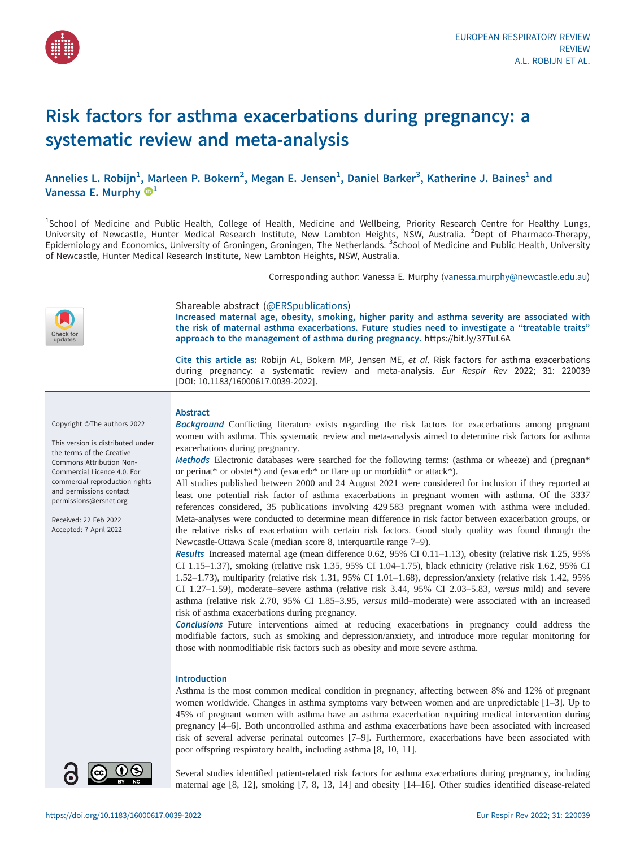

# Risk factors for asthma exacerbations during pregnancy: a systematic review and meta-analysis

Annelies L. Robijn<sup>1</sup>, Marleen P. Bokern<sup>2</sup>, Megan E. Jensen<sup>1</sup>, Daniel Barker<sup>3</sup>, Katherine J. Baines<sup>1</sup> and Vanessa E. Murphy  $\mathbb{D}^1$ 

<sup>1</sup>School of Medicine and Public Health, College of Health, Medicine and Wellbeing, Priority Research Centre for Healthy Lungs, University of Newcastle, Hunter Medical Research Institute, New Lambton Heights, NSW, Australia. <sup>2</sup>Dept of Pharmaco-Therapy, Epidemiology and Economics, University of Groningen, Groningen, The Netherlands. <sup>3</sup>School of Medicine and Public Health, University of Newcastle, Hunter Medical Research Institute, New Lambton Heights, NSW, Australia.

Corresponding author: Vanessa E. Murphy [\(vanessa.murphy@newcastle.edu.au](mailto:vanessa.murphy@newcastle.edu.au))

| heck for:<br>updates                                                                                                                                                                                                                                                                               | Shareable abstract (@ERSpublications)<br>Increased maternal age, obesity, smoking, higher parity and asthma severity are associated with<br>the risk of maternal asthma exacerbations. Future studies need to investigate a "treatable traits"<br>approach to the management of asthma during pregnancy. https://bit.ly/37TuL6A<br>Cite this article as: Robijn AL, Bokern MP, Jensen ME, et al. Risk factors for asthma exacerbations                                                                                                                                                                                                                                                                                                                                                                                                                                                                                                                                                                                                                                                                                                                                                                                                                                                                                                                                                                                                                                                                                                                                                                                                                                                     |
|----------------------------------------------------------------------------------------------------------------------------------------------------------------------------------------------------------------------------------------------------------------------------------------------------|--------------------------------------------------------------------------------------------------------------------------------------------------------------------------------------------------------------------------------------------------------------------------------------------------------------------------------------------------------------------------------------------------------------------------------------------------------------------------------------------------------------------------------------------------------------------------------------------------------------------------------------------------------------------------------------------------------------------------------------------------------------------------------------------------------------------------------------------------------------------------------------------------------------------------------------------------------------------------------------------------------------------------------------------------------------------------------------------------------------------------------------------------------------------------------------------------------------------------------------------------------------------------------------------------------------------------------------------------------------------------------------------------------------------------------------------------------------------------------------------------------------------------------------------------------------------------------------------------------------------------------------------------------------------------------------------|
|                                                                                                                                                                                                                                                                                                    | during pregnancy: a systematic review and meta-analysis. Eur Respir Rev 2022; 31: 220039<br>[DOI: 10.1183/16000617.0039-2022].                                                                                                                                                                                                                                                                                                                                                                                                                                                                                                                                                                                                                                                                                                                                                                                                                                                                                                                                                                                                                                                                                                                                                                                                                                                                                                                                                                                                                                                                                                                                                             |
| Copyright ©The authors 2022<br>This version is distributed under<br>the terms of the Creative<br>Commons Attribution Non-<br>Commercial Licence 4.0. For<br>commercial reproduction rights<br>and permissions contact<br>permissions@ersnet.org<br>Received: 22 Feb 2022<br>Accepted: 7 April 2022 | <b>Abstract</b><br>Background Conflicting literature exists regarding the risk factors for exacerbations among pregnant<br>women with asthma. This systematic review and meta-analysis aimed to determine risk factors for asthma<br>exacerbations during pregnancy.<br>Methods Electronic databases were searched for the following terms: (asthma or wheeze) and (pregnan*<br>or perinat* or obstet*) and (exacerb* or flare up or morbidit* or attack*).<br>All studies published between 2000 and 24 August 2021 were considered for inclusion if they reported at<br>least one potential risk factor of asthma exacerbations in pregnant women with asthma. Of the 3337<br>references considered, 35 publications involving 429 583 pregnant women with asthma were included.<br>Meta-analyses were conducted to determine mean difference in risk factor between exacerbation groups, or<br>the relative risks of exacerbation with certain risk factors. Good study quality was found through the<br>Newcastle-Ottawa Scale (median score 8, interquartile range 7-9).<br>Results Increased maternal age (mean difference 0.62, 95% CI 0.11-1.13), obesity (relative risk 1.25, 95%<br>CI 1.15-1.37), smoking (relative risk 1.35, 95% CI 1.04-1.75), black ethnicity (relative risk 1.62, 95% CI<br>1.52-1.73), multiparity (relative risk 1.31, 95% CI 1.01-1.68), depression/anxiety (relative risk 1.42, 95%<br>CI 1.27-1.59), moderate-severe asthma (relative risk 3.44, 95% CI 2.03-5.83, versus mild) and severe<br>asthma (relative risk 2.70, 95% CI 1.85-3.95, versus mild-moderate) were associated with an increased<br>risk of asthma exacerbations during pregnancy. |
|                                                                                                                                                                                                                                                                                                    | Conclusions Future interventions aimed at reducing exacerbations in pregnancy could address the<br>modifiable factors, such as smoking and depression/anxiety, and introduce more regular monitoring for<br>those with nonmodifiable risk factors such as obesity and more severe asthma.<br><b>Introduction</b><br>Asthma is the most common medical condition in pregnancy, affecting between 8% and 12% of pregnant<br>women worldwide. Changes in asthma symptoms vary between women and are unpredictable [1–3]. Up to<br>45% of pregnant women with asthma have an asthma exacerbation requiring medical intervention during<br>pregnancy [4-6]. Both uncontrolled asthma and asthma exacerbations have been associated with increased<br>risk of several adverse perinatal outcomes [7-9]. Furthermore, exacerbations have been associated with<br>poor offspring respiratory health, including asthma [8, 10, 11].                                                                                                                                                                                                                                                                                                                                                                                                                                                                                                                                                                                                                                                                                                                                                                 |
|                                                                                                                                                                                                                                                                                                    | Several studies identified patient-related risk factors for asthma exacerbations during pregnancy, including<br>maternal ago (0, 12), empleing (7, 0, 12, 14) and obecity [14, 16]. Other studies identified disease related                                                                                                                                                                                                                                                                                                                                                                                                                                                                                                                                                                                                                                                                                                                                                                                                                                                                                                                                                                                                                                                                                                                                                                                                                                                                                                                                                                                                                                                               |

maternal age [\[8, 12](#page-9-0)], smoking [\[7, 8, 13](#page-9-0), [14\]](#page-9-0) and obesity [[14](#page-9-0)–[16](#page-9-0)]. Other studies identified disease-related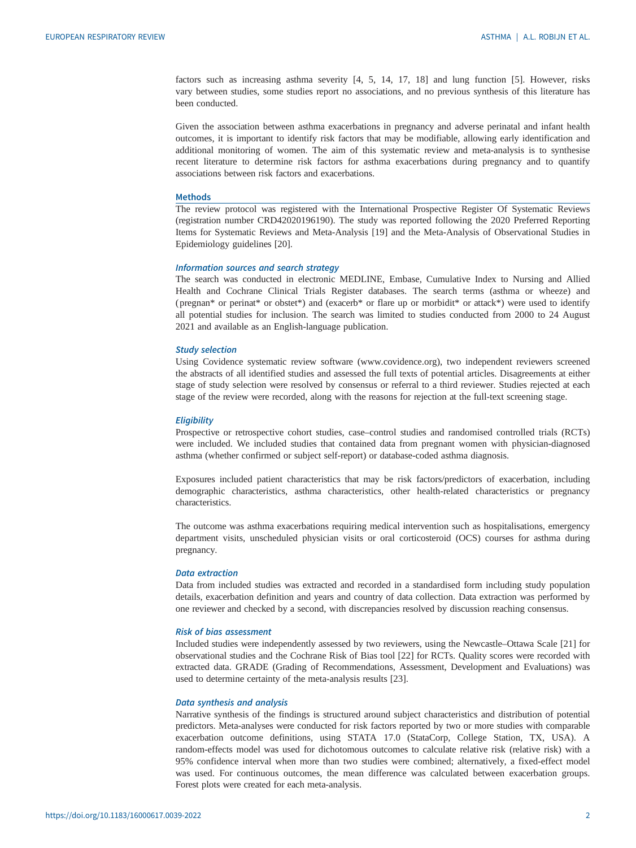factors such as increasing asthma severity [[4](#page-9-0), [5, 14](#page-9-0), [17](#page-9-0), [18](#page-9-0)] and lung function [\[5\]](#page-9-0). However, risks vary between studies, some studies report no associations, and no previous synthesis of this literature has been conducted.

Given the association between asthma exacerbations in pregnancy and adverse perinatal and infant health outcomes, it is important to identify risk factors that may be modifiable, allowing early identification and additional monitoring of women. The aim of this systematic review and meta-analysis is to synthesise recent literature to determine risk factors for asthma exacerbations during pregnancy and to quantify associations between risk factors and exacerbations.

# Methods

The review protocol was registered with the International Prospective Register Of Systematic Reviews (registration number CRD42020196190). The study was reported following the 2020 Preferred Reporting Items for Systematic Reviews and Meta-Analysis [\[19](#page-9-0)] and the Meta-Analysis of Observational Studies in Epidemiology guidelines [\[20](#page-9-0)].

# Information sources and search strategy

The search was conducted in electronic MEDLINE, Embase, Cumulative Index to Nursing and Allied Health and Cochrane Clinical Trials Register databases. The search terms (asthma or wheeze) and (pregnan\* or perinat\* or obstet\*) and (exacerb\* or flare up or morbidit\* or attack\*) were used to identify all potential studies for inclusion. The search was limited to studies conducted from 2000 to 24 August 2021 and available as an English-language publication.

# Study selection

Using Covidence systematic review software ([www.covidence.org](http://www.covidence.org)), two independent reviewers screened the abstracts of all identified studies and assessed the full texts of potential articles. Disagreements at either stage of study selection were resolved by consensus or referral to a third reviewer. Studies rejected at each stage of the review were recorded, along with the reasons for rejection at the full-text screening stage.

# **Eligibility**

Prospective or retrospective cohort studies, case–control studies and randomised controlled trials (RCTs) were included. We included studies that contained data from pregnant women with physician-diagnosed asthma (whether confirmed or subject self-report) or database-coded asthma diagnosis.

Exposures included patient characteristics that may be risk factors/predictors of exacerbation, including demographic characteristics, asthma characteristics, other health-related characteristics or pregnancy characteristics.

The outcome was asthma exacerbations requiring medical intervention such as hospitalisations, emergency department visits, unscheduled physician visits or oral corticosteroid (OCS) courses for asthma during pregnancy.

# Data extraction

Data from included studies was extracted and recorded in a standardised form including study population details, exacerbation definition and years and country of data collection. Data extraction was performed by one reviewer and checked by a second, with discrepancies resolved by discussion reaching consensus.

# Risk of bias assessment

Included studies were independently assessed by two reviewers, using the Newcastle–Ottawa Scale [[21\]](#page-9-0) for observational studies and the Cochrane Risk of Bias tool [[22\]](#page-10-0) for RCTs. Quality scores were recorded with extracted data. GRADE (Grading of Recommendations, Assessment, Development and Evaluations) was used to determine certainty of the meta-analysis results [\[23](#page-10-0)].

# Data synthesis and analysis

Narrative synthesis of the findings is structured around subject characteristics and distribution of potential predictors. Meta-analyses were conducted for risk factors reported by two or more studies with comparable exacerbation outcome definitions, using STATA 17.0 (StataCorp, College Station, TX, USA). A random-effects model was used for dichotomous outcomes to calculate relative risk (relative risk) with a 95% confidence interval when more than two studies were combined; alternatively, a fixed-effect model was used. For continuous outcomes, the mean difference was calculated between exacerbation groups. Forest plots were created for each meta-analysis.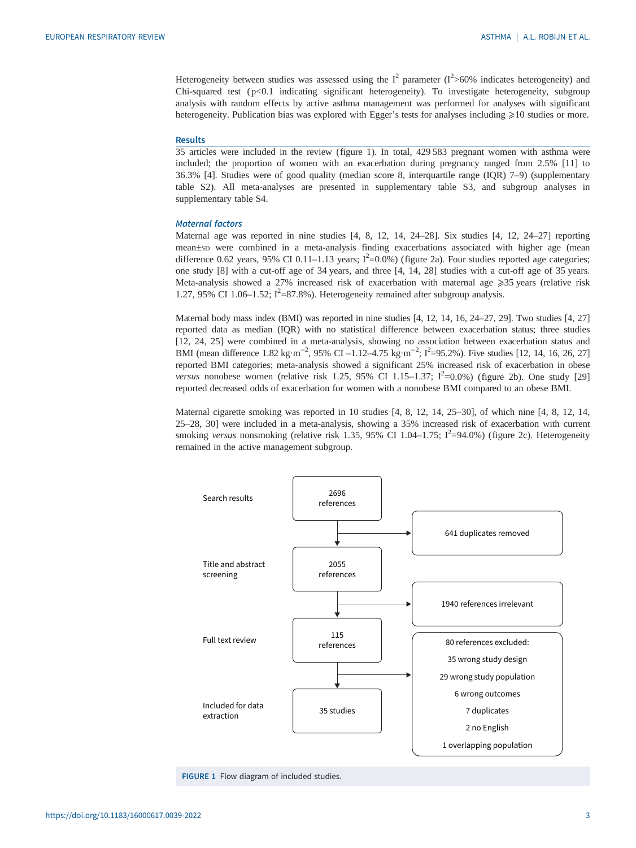Heterogeneity between studies was assessed using the  $I^2$  parameter ( $I^2$ >60% indicates heterogeneity) and Chi-squared test (p<0.1 indicating significant heterogeneity). To investigate heterogeneity, subgroup analysis with random effects by active asthma management was performed for analyses with significant heterogeneity. Publication bias was explored with Egger's tests for analyses including  $\geq 10$  studies or more.

# Results

35 articles were included in the review (figure 1). In total, 429 583 pregnant women with asthma were included; the proportion of women with an exacerbation during pregnancy ranged from 2.5% [[11](#page-9-0)] to 36.3% [\[4\]](#page-9-0). Studies were of good quality (median score 8, interquartile range (IQR) 7–9) [\(supplementary](http://err.ersjournals.com/lookup/doi/10.1183/16000617.0039-2022.figures-only#fig-data-supplementary-materials) [table S2](http://err.ersjournals.com/lookup/doi/10.1183/16000617.0039-2022.figures-only#fig-data-supplementary-materials)). All meta-analyses are presented in [supplementary table S3](http://err.ersjournals.com/lookup/doi/10.1183/16000617.0039-2022.figures-only#fig-data-supplementary-materials), and subgroup analyses in [supplementary table S4](http://err.ersjournals.com/lookup/doi/10.1183/16000617.0039-2022.figures-only#fig-data-supplementary-materials).

# Maternal factors

Maternal age was reported in nine studies [\[4, 8, 12](#page-9-0), [14,](#page-9-0) [24](#page-10-0)–[28\]](#page-10-0). Six studies [\[4, 12](#page-9-0), [24](#page-10-0)–[27](#page-10-0)] reporting mean±sp were combined in a meta-analysis finding exacerbations associated with higher age (mean difference 0.62 years, 95% CI 0.11–1.13 years;  $I^2$ =0.0%) ([figure 2a\)](#page-3-0). Four studies reported age categories; one study [\[8\]](#page-9-0) with a cut-off age of 34 years, and three [[4](#page-9-0), [14,](#page-9-0) [28](#page-10-0)] studies with a cut-off age of 35 years. Meta-analysis showed a 27% increased risk of exacerbation with maternal age ≥35 years (relative risk 1.27, 95% CI 1.06-1.52;  $I^2$ =87.8%). Heterogeneity remained after subgroup analysis.

Maternal body mass index (BMI) was reported in nine studies [\[4](#page-9-0), [12](#page-9-0), [14, 16](#page-9-0), [24](#page-10-0)–[27](#page-10-0), [29\]](#page-10-0). Two studies [[4](#page-9-0), [27\]](#page-10-0) reported data as median (IQR) with no statistical difference between exacerbation status; three studies [\[12](#page-9-0), [24](#page-10-0), [25](#page-10-0)] were combined in a meta-analysis, showing no association between exacerbation status and BMI (mean difference 1.82 kg·m<sup>-2</sup>, 95% CI –1.12–4.75 kg·m<sup>-2</sup>; I<sup>2</sup>=95.2%). Five studies [\[12, 14, 16](#page-9-0), [26](#page-10-0), [27\]](#page-10-0) reported BMI categories; meta-analysis showed a significant 25% increased risk of exacerbation in obese versus nonobese women (relative risk 1.25, 95% CI 1.15-1.37;  $I^2$ =0.0%) ([figure 2b\)](#page-3-0). One study [[29\]](#page-10-0) reported decreased odds of exacerbation for women with a nonobese BMI compared to an obese BMI.

Maternal cigarette smoking was reported in 10 studies [[4](#page-9-0), [8](#page-9-0), [12, 14](#page-9-0), [25](#page-10-0)–[30](#page-10-0)], of which nine [\[4](#page-9-0), [8, 12](#page-9-0), [14](#page-9-0), [25](#page-10-0)–[28](#page-10-0), [30\]](#page-10-0) were included in a meta-analysis, showing a 35% increased risk of exacerbation with current smoking versus nonsmoking (relative risk 1.35, 95% CI 1.04–1.75;  $I^2$ =94.0%) [\(figure 2c\)](#page-3-0). Heterogeneity remained in the active management subgroup.



FIGURE 1 Flow diagram of included studies.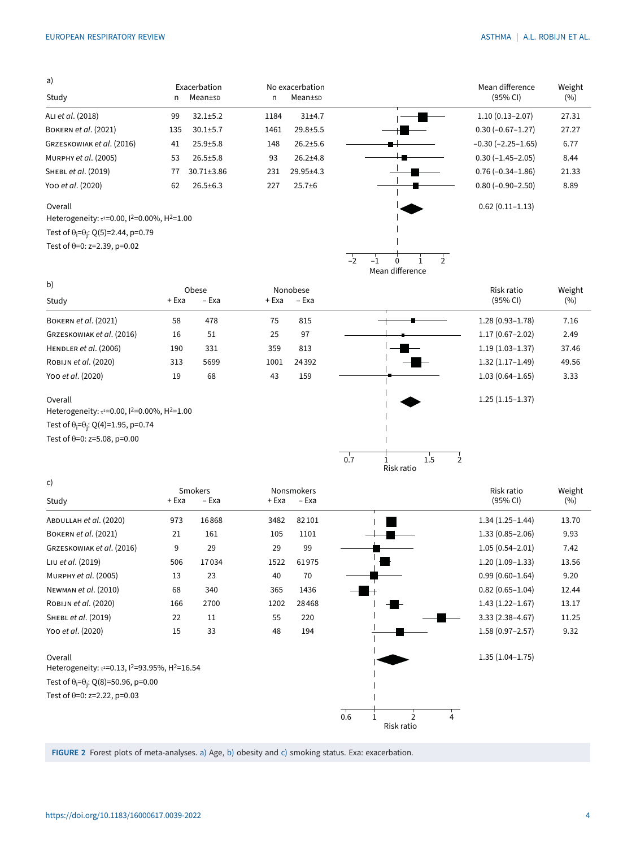<span id="page-3-0"></span>

| a)                                                                               |     |                         |      |                            |                             |               |
|----------------------------------------------------------------------------------|-----|-------------------------|------|----------------------------|-----------------------------|---------------|
| Study                                                                            | n   | Exacerbation<br>Mean±sp | n    | No exacerbation<br>Mean±sp | Mean difference<br>(95% CI) | Weight<br>(%) |
| ALI et al. (2018)                                                                | 99  | $32.1 \pm 5.2$          | 1184 | $31+4.7$                   | $1.10(0.13 - 2.07)$         | 27.31         |
| BOKERN et al. (2021)                                                             | 135 | $30.1 \pm 5.7$          | 1461 | $29.8 + 5.5$               | $0.30(-0.67-1.27)$          | 27.27         |
| GRZESKOWIAK et al. (2016)                                                        | 41  | $25.9 + 5.8$            | 148  | $26.2 \pm 5.6$             | $-0.30$ ( $-2.25-1.65$ )    | 6.77          |
| MURPHY et al. (2005)                                                             | 53  | $26.5 \pm 5.8$          | 93   | $26.2{\pm}4.8$             | $0.30(-1.45-2.05)$          | 8.44          |
| SHEBL et al. (2019)                                                              | 77  | $30.71 \pm 3.86$        | 231  | 29.95±4.3                  | $0.76(-0.34-1.86)$          | 21.33         |
| Yoo et al. (2020)                                                                | 62  | $26.5 \pm 6.3$          | 227  | $25.7 + 6$                 | $0.80 (-0.90 - 2.50)$       | 8.89          |
| Overall                                                                          |     |                         |      |                            | $0.62(0.11 - 1.13)$         |               |
| Heterogeneity: τ <sup>2</sup> =0.00, 1 <sup>2</sup> =0.00%, H <sup>2</sup> =1.00 |     |                         |      |                            |                             |               |

Test of  $\theta$ <sub>i</sub>= $\theta$ <sub>j</sub>: Q(5)=2.44, p=0.79

Test of  $\theta$ =0: z=2.39, p=0.02

 $\overline{\phantom{a}}$  $\overline{\phantom{a}}$  $-2$   $-1$  0 1 2 Mean difference

| $-0.30$ ( $-2.25-1.65$ ) | 6.77  |
|--------------------------|-------|
| $0.30 (-1.45 - 2.05)$    | 8.44  |
| $0.76(-0.34-1.86)$       | 21.33 |
| $0.80 (-0.90 - 2.50)$    | 8.89  |
| $0.62(0.11 - 1.13)$      |       |
|                          |       |
|                          |       |

| b)                                                                                         |       | Obese |       | Nonobese |     |                       | Risk ratio          | Weight |
|--------------------------------------------------------------------------------------------|-------|-------|-------|----------|-----|-----------------------|---------------------|--------|
| Study                                                                                      | + Exa | – Exa | + Exa | – Exa    |     |                       | (95% CI)            | (%)    |
| <b>BOKERN et al. (2021)</b>                                                                | 58    | 478   | 75    | 815      |     |                       | $1.28(0.93 - 1.78)$ | 7.16   |
| GRZESKOWIAK et al. (2016)                                                                  | 16    | 51    | 25    | 97       |     |                       | $1.17(0.67 - 2.02)$ | 2.49   |
| HENDLER et al. (2006)                                                                      | 190   | 331   | 359   | 813      |     |                       | $1.19(1.03 - 1.37)$ | 37.46  |
| ROBIJN et al. (2020)                                                                       | 313   | 5699  | 1001  | 24392    |     |                       | $1.32(1.17-1.49)$   | 49.56  |
| Yoo et al. (2020)                                                                          | 19    | 68    | 43    | 159      |     |                       | $1.03(0.64 - 1.65)$ | 3.33   |
| Overall<br>Heterogeneity: τ <sup>2=0.00</sup> , 1 <sup>2=0.00</sup> %, H <sup>2=1.00</sup> |       |       |       |          |     |                       | $1.25(1.15-1.37)$   |        |
| Test of $\theta_i = \theta_i$ : Q(4)=1.95, p=0.74                                          |       |       |       |          |     |                       |                     |        |
| Test of $\theta$ =0: z=5.08, p=0.00                                                        |       |       |       |          |     |                       |                     |        |
|                                                                                            |       |       |       |          | 0.7 | $1.5\,$<br>Risk ratio |                     |        |

| c)                                                                                            |       |                  |       |                            |     |                 |   |                        |               |
|-----------------------------------------------------------------------------------------------|-------|------------------|-------|----------------------------|-----|-----------------|---|------------------------|---------------|
| Study                                                                                         | + Exa | Smokers<br>– Exa | + Exa | <b>Nonsmokers</b><br>– Exa |     |                 |   | Risk ratio<br>(95% CI) | Weight<br>(%) |
| ABDULLAH et al. (2020)                                                                        | 973   | 16868            | 3482  | 82101                      |     |                 |   | $1.34(1.25 - 1.44)$    | 13.70         |
| <b>BOKERN et al. (2021)</b>                                                                   | 21    | 161              | 105   | 1101                       |     |                 |   | $1.33(0.85 - 2.06)$    | 9.93          |
| GRZESKOWIAK et al. (2016)                                                                     | 9     | 29               | 29    | 99                         |     |                 |   | $1.05(0.54 - 2.01)$    | 7.42          |
| Liu et al. (2019)                                                                             | 506   | 17034            | 1522  | 61975                      |     |                 |   | $1.20(1.09-1.33)$      | 13.56         |
| MURPHY et al. (2005)                                                                          | 13    | 23               | 40    | 70                         |     |                 |   | $0.99(0.60 - 1.64)$    | 9.20          |
| NEWMAN et al. (2010)                                                                          | 68    | 340              | 365   | 1436                       |     |                 |   | $0.82(0.65 - 1.04)$    | 12.44         |
| ROBIJN et al. (2020)                                                                          | 166   | 2700             | 1202  | 28468                      |     |                 |   | $1.43(1.22 - 1.67)$    | 13.17         |
| SHEBL et al. (2019)                                                                           | 22    | 11               | 55    | 220                        |     |                 |   | $3.33(2.38 - 4.67)$    | 11.25         |
| Yoo et al. (2020)                                                                             | 15    | 33               | 48    | 194                        |     |                 |   | $1.58(0.97 - 2.57)$    | 9.32          |
| Overall<br>Heterogeneity: τ <sup>2</sup> =0.13, 1 <sup>2</sup> =93.95%, H <sup>2</sup> =16.54 |       |                  |       |                            |     |                 |   | $1.35(1.04 - 1.75)$    |               |
| Test of $\theta_i = \theta_i$ : Q(8)=50.96, p=0.00                                            |       |                  |       |                            |     |                 |   |                        |               |
| Test of $\theta$ =0: z=2.22, p=0.03                                                           |       |                  |       |                            |     |                 |   |                        |               |
|                                                                                               |       |                  |       |                            | 0.6 | っ<br>Risk ratio | 4 |                        |               |

FIGURE 2 Forest plots of meta-analyses. a) Age, b) obesity and c) smoking status. Exa: exacerbation.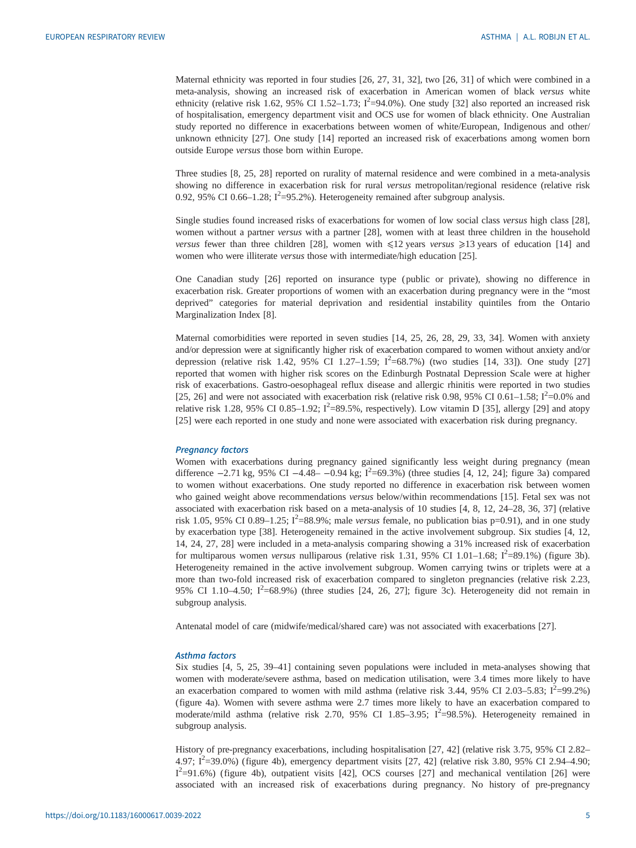Maternal ethnicity was reported in four studies [\[26](#page-10-0), [27](#page-10-0), [31, 32\]](#page-10-0), two [[26, 31\]](#page-10-0) of which were combined in a meta-analysis, showing an increased risk of exacerbation in American women of black versus white ethnicity (relative risk 1.62, 95% CI 1.52-1.73;  $I^2$ =94.0%). One study [[32\]](#page-10-0) also reported an increased risk of hospitalisation, emergency department visit and OCS use for women of black ethnicity. One Australian study reported no difference in exacerbations between women of white/European, Indigenous and other/ unknown ethnicity [\[27](#page-10-0)]. One study [\[14](#page-9-0)] reported an increased risk of exacerbations among women born outside Europe versus those born within Europe.

Three studies [[8](#page-9-0), [25, 28](#page-10-0)] reported on rurality of maternal residence and were combined in a meta-analysis showing no difference in exacerbation risk for rural versus metropolitan/regional residence (relative risk 0.92, 95% CI 0.66–1.28;  $I^2$ =95.2%). Heterogeneity remained after subgroup analysis.

Single studies found increased risks of exacerbations for women of low social class versus high class [[28\]](#page-10-0), women without a partner versus with a partner [[28\]](#page-10-0), women with at least three children in the household versus fewer than three children [\[28](#page-10-0)], women with  $\leq 12$  years versus  $\geq 13$  years of education [[14\]](#page-9-0) and women who were illiterate versus those with intermediate/high education [[25\]](#page-10-0).

One Canadian study [[26\]](#page-10-0) reported on insurance type ( public or private), showing no difference in exacerbation risk. Greater proportions of women with an exacerbation during pregnancy were in the "most deprived" categories for material deprivation and residential instability quintiles from the Ontario Marginalization Index [[8](#page-9-0)].

Maternal comorbidities were reported in seven studies [\[14](#page-9-0), [25, 26, 28](#page-10-0), [29, 33, 34](#page-10-0)]. Women with anxiety and/or depression were at significantly higher risk of exacerbation compared to women without anxiety and/or depression (relative risk 1.42, 95% CI 1.27-1.59;  $I^2$ =68.7%) (two studies [\[14](#page-9-0), [33](#page-10-0)]). One study [[27\]](#page-10-0) reported that women with higher risk scores on the Edinburgh Postnatal Depression Scale were at higher risk of exacerbations. Gastro-oesophageal reflux disease and allergic rhinitis were reported in two studies [\[25](#page-10-0), [26](#page-10-0)] and were not associated with exacerbation risk (relative risk 0.98, 95% CI 0.61–1.58;  $I^2$ =0.0% and relative risk 1.28, 95% CI 0.85–1.92;  $I^2$ =89.5%, respectively). Low vitamin D [[35\]](#page-10-0), allergy [\[29](#page-10-0)] and atopy [\[25](#page-10-0)] were each reported in one study and none were associated with exacerbation risk during pregnancy.

### Pregnancy factors

Women with exacerbations during pregnancy gained significantly less weight during pregnancy (mean difference  $-2.71$  kg, 95% CI  $-4.48-$  -0.94 kg; I<sup>2</sup>=69.3%) (three studies [[4, 12,](#page-9-0) [24](#page-10-0)]; [figure 3a\)](#page-5-0) compared to women without exacerbations. One study reported no difference in exacerbation risk between women who gained weight above recommendations versus below/within recommendations [[15\]](#page-9-0). Fetal sex was not associated with exacerbation risk based on a meta-analysis of 10 studies [\[4, 8, 12,](#page-9-0) [24](#page-10-0)–[28, 36, 37](#page-10-0)] (relative risk 1.05, 95% CI 0.89–1.25;  $I^2$ =88.9%; male versus female, no publication bias p=0.91), and in one study by exacerbation type [[38\]](#page-10-0). Heterogeneity remained in the active involvement subgroup. Six studies [[4](#page-9-0), [12](#page-9-0), [14,](#page-9-0) [24, 27](#page-10-0), [28](#page-10-0)] were included in a meta-analysis comparing showing a 31% increased risk of exacerbation for multiparous women versus nulliparous (relative risk 1.31, 95% CI 1.01–1.68;  $I^2$ =89.1%) [\(figure 3b\)](#page-5-0). Heterogeneity remained in the active involvement subgroup. Women carrying twins or triplets were at a more than two-fold increased risk of exacerbation compared to singleton pregnancies (relative risk 2.23, 95% CI 1.10-4.50;  $I^2$ =68.9%) (three studies [[24, 26](#page-10-0), [27\]](#page-10-0); [figure 3c](#page-5-0)). Heterogeneity did not remain in subgroup analysis.

Antenatal model of care (midwife/medical/shared care) was not associated with exacerbations [\[27](#page-10-0)].

#### Asthma factors

Six studies [\[4, 5](#page-9-0), [25](#page-10-0), [39](#page-10-0)–[41\]](#page-10-0) containing seven populations were included in meta-analyses showing that women with moderate/severe asthma, based on medication utilisation, were 3.4 times more likely to have an exacerbation compared to women with mild asthma (relative risk 3.44, 95% CI 2.03–5.83;  $I^2$ =99.2%) [\(figure 4a\)](#page-6-0). Women with severe asthma were 2.7 times more likely to have an exacerbation compared to moderate/mild asthma (relative risk 2.70, 95% CI 1.85-3.95;  $I^2$ =98.5%). Heterogeneity remained in subgroup analysis.

History of pre-pregnancy exacerbations, including hospitalisation [[27, 42\]](#page-10-0) (relative risk 3.75, 95% CI 2.82– 4.97;  $I^2$ =39.0%) ([figure 4b\)](#page-6-0), emergency department visits [[27, 42](#page-10-0)] (relative risk 3.80, 95% CI 2.94–4.90; I<sup>2</sup>=91.6%) [\(figure 4b\)](#page-6-0), outpatient visits [\[42](#page-10-0)], OCS courses [\[27](#page-10-0)] and mechanical ventilation [\[26](#page-10-0)] were associated with an increased risk of exacerbations during pregnancy. No history of pre-pregnancy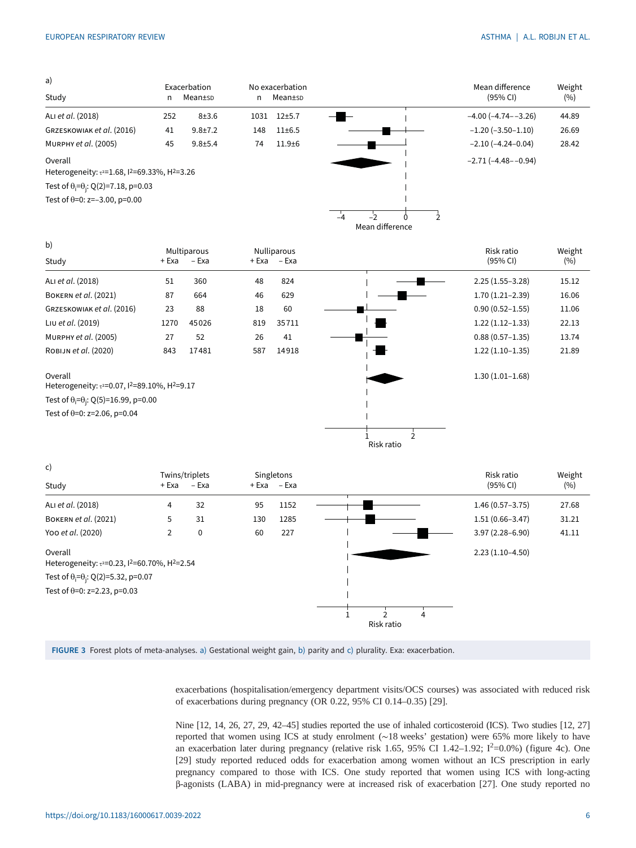<span id="page-5-0"></span>

| a)                                                                         |     | Exacerbation  |      | No exacerbation |    |                 |  | Mean difference           | Weight |
|----------------------------------------------------------------------------|-----|---------------|------|-----------------|----|-----------------|--|---------------------------|--------|
| Study                                                                      | n   | Mean±sp       | n    | Mean±sp         |    |                 |  | (95% CI)                  | (%)    |
| ALI et al. (2018)                                                          | 252 | $8 + 3.6$     | 1031 | $12 + 5.7$      |    |                 |  | $-4.00$ $(-4.74 - -3.26)$ | 44.89  |
| GRZESKOWIAK et al. (2016)                                                  | 41  | $9.8 \pm 7.2$ | 148  | $11 \pm 6.5$    |    |                 |  | $-1.20$ ( $-3.50-1.10$ )  | 26.69  |
| MURPHY et al. (2005)                                                       | 45  | $9.8 + 5.4$   | 74   | $11.9 + 6$      |    |                 |  | $-2.10(-4.24-0.04)$       | 28.42  |
| Overall<br>Heterogeneity: $\tau^2 = 1.68$ , $1^2 = 69.33\%$ , $H^2 = 3.26$ |     |               |      |                 |    |                 |  | $-2.71(-4.48 - -0.94)$    |        |
| Test of $\theta_i = \theta_i$ : Q(2)=7.18, p=0.03                          |     |               |      |                 |    |                 |  |                           |        |
| Test of $\theta$ =0: z=-3.00, p=0.00                                       |     |               |      |                 |    |                 |  |                           |        |
|                                                                            |     |               |      |                 | -4 |                 |  |                           |        |
|                                                                            |     |               |      |                 |    | Mean difference |  |                           |        |

| b)                                                                                           |       | Multiparous |     | <b>Nulliparous</b> |            | Risk ratio          | Weight |
|----------------------------------------------------------------------------------------------|-------|-------------|-----|--------------------|------------|---------------------|--------|
| Study                                                                                        | + Exa | – Exa       |     | + Exa – Exa        |            | (95% CI)            | (%)    |
| ALI et al. (2018)                                                                            | 51    | 360         | 48  | 824                |            | $2.25(1.55-3.28)$   | 15.12  |
| BOKERN et al. (2021)                                                                         | 87    | 664         | 46  | 629                |            | $1.70(1.21 - 2.39)$ | 16.06  |
| GRZESKOWIAK et al. (2016)                                                                    | 23    | 88          | 18  | 60                 |            | $0.90(0.52 - 1.55)$ | 11.06  |
| Liu et al. (2019)                                                                            | 1270  | 45026       | 819 | 35711              |            | $1.22(1.12-1.33)$   | 22.13  |
| MURPHY et al. (2005)                                                                         | 27    | 52          | 26  | 41                 |            | $0.88(0.57 - 1.35)$ | 13.74  |
| ROBIJN et al. (2020)                                                                         | 843   | 17481       | 587 | 14918              |            | $1.22(1.10-1.35)$   | 21.89  |
| Overall<br>Heterogeneity: τ <sup>2</sup> =0.07, 1 <sup>2</sup> =89.10%, H <sup>2</sup> =9.17 |       |             |     |                    |            | $1.30(1.01 - 1.68)$ |        |
| Test of $\theta_i = \theta_i$ : Q(5)=16.99, p=0.00                                           |       |             |     |                    |            |                     |        |
| Test of $\theta$ =0: z=2.06, p=0.04                                                          |       |             |     |                    |            |                     |        |
|                                                                                              |       |             |     |                    |            |                     |        |
|                                                                                              |       |             |     |                    | Risk ratio |                     |        |



FIGURE 3 Forest plots of meta-analyses. a) Gestational weight gain, b) parity and c) plurality. Exa: exacerbation.

exacerbations (hospitalisation/emergency department visits/OCS courses) was associated with reduced risk of exacerbations during pregnancy (OR 0.22, 95% CI 0.14–0.35) [\[29](#page-10-0)].

Nine [\[12, 14](#page-9-0), [26](#page-10-0), [27, 29](#page-10-0), [42](#page-10-0)–[45](#page-10-0)] studies reported the use of inhaled corticosteroid (ICS). Two studies [\[12](#page-9-0), [27\]](#page-10-0) reported that women using ICS at study enrolment (∼18 weeks' gestation) were 65% more likely to have an exacerbation later during pregnancy (relative risk 1.65, 95% CI 1.42–1.92;  $I^2$ =0.0%) ([figure 4c](#page-6-0)). One [\[29](#page-10-0)] study reported reduced odds for exacerbation among women without an ICS prescription in early pregnancy compared to those with ICS. One study reported that women using ICS with long-acting β-agonists (LABA) in mid-pregnancy were at increased risk of exacerbation [[27\]](#page-10-0). One study reported no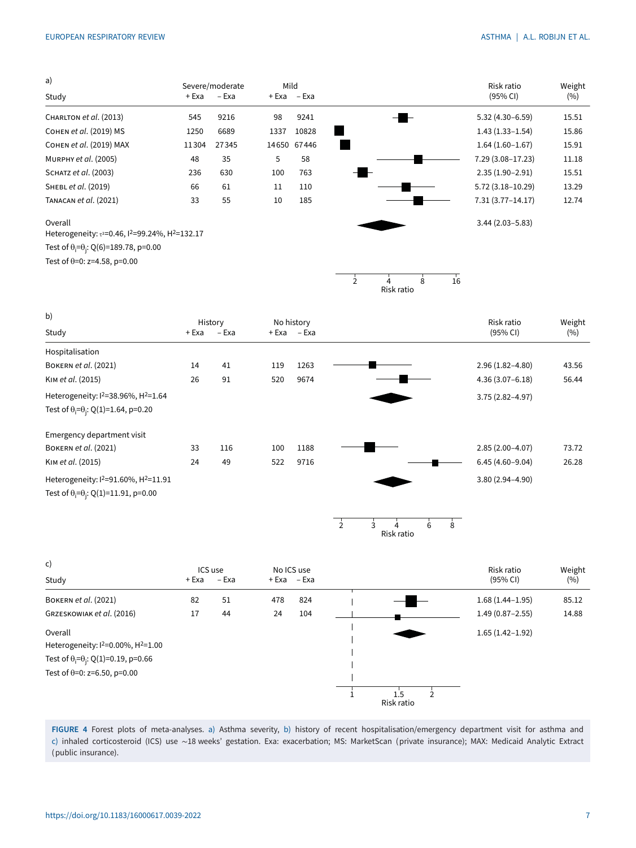<span id="page-6-0"></span>

| a)                                                                           |       | Severe/moderate | Mild  |             |                |                            |    | Risk ratio           | Weight |
|------------------------------------------------------------------------------|-------|-----------------|-------|-------------|----------------|----------------------------|----|----------------------|--------|
| Study                                                                        | + Exa | – Exa           |       | + Exa – Exa |                |                            |    | (95% CI)             | (%)    |
| CHARLTON et al. (2013)                                                       | 545   | 9216            | 98    | 9241        |                |                            |    | $5.32(4.30 - 6.59)$  | 15.51  |
| Сонем et al. (2019) MS                                                       | 1250  | 6689            | 1337  | 10828       |                |                            |    | $1.43(1.33 - 1.54)$  | 15.86  |
| Сонем et al. (2019) MAX                                                      | 11304 | 27345           | 14650 | 67446       |                |                            |    | $1.64(1.60-1.67)$    | 15.91  |
| MURPHY et al. (2005)                                                         | 48    | 35              | 5     | 58          |                |                            |    | 7.29 (3.08-17.23)    | 11.18  |
| SCHATZ et al. (2003)                                                         | 236   | 630             | 100   | 763         |                |                            |    | $2.35(1.90-2.91)$    | 15.51  |
| SHEBL et al. (2019)                                                          | 66    | 61              | 11    | 110         |                |                            |    | $5.72(3.18 - 10.29)$ | 13.29  |
| TANACAN et al. (2021)                                                        | 33    | 55              | 10    | 185         |                |                            |    | $7.31(3.77 - 14.17)$ | 12.74  |
| Overall<br>Heterogeneity: $\tau^2 = 0.46$ , $1^2 = 99.24\%$ , $H^2 = 132.17$ |       |                 |       |             |                |                            |    | $3.44(2.03 - 5.83)$  |        |
| Test of $\theta$ <sub>i</sub> = $\theta$ <sub>i</sub> : Q(6)=189.78, p=0.00  |       |                 |       |             |                |                            |    |                      |        |
| Test of $\theta$ =0: z=4.58, p=0.00                                          |       |                 |       |             |                |                            |    |                      |        |
|                                                                              |       |                 |       |             | $\overline{2}$ | $\mathsf{R}$<br>Risk ratio | 16 |                      |        |

| b)                                                  | History |       | No history |       |  | Risk ratio          | Weight |
|-----------------------------------------------------|---------|-------|------------|-------|--|---------------------|--------|
| Study                                               | + Exa   | – Exa | + Exa      | – Exa |  | (95% CI)            | (%)    |
| Hospitalisation                                     |         |       |            |       |  |                     |        |
| <b>BOKERN et al. (2021)</b>                         | 14      | 41    | 119        | 1263  |  | $2.96(1.82 - 4.80)$ | 43.56  |
| KIM et al. (2015)                                   | 26      | 91    | 520        | 9674  |  | $4.36(3.07 - 6.18)$ | 56.44  |
| Heterogeneity: $1^2$ =38.96%, $H^2$ =1.64           |         |       |            |       |  | $3.75(2.82 - 4.97)$ |        |
| Test of $\theta_i = \theta_i$ : Q(1)=1.64, p=0.20   |         |       |            |       |  |                     |        |
| Emergency department visit                          |         |       |            |       |  |                     |        |
| <b>BOKERN et al. (2021)</b>                         | 33      | 116   | 100        | 1188  |  | $2.85(2.00-4.07)$   | 73.72  |
| KIM et al. (2015)                                   | 24      | 49    | 522        | 9716  |  | $6.45(4.60 - 9.04)$ | 26.28  |
| Heterogeneity: $1^2$ =91.60%, H <sup>2</sup> =11.91 |         |       |            |       |  | $3.80(2.94 - 4.90)$ |        |
| Test of $\theta_i = \theta_i$ : Q(1)=11.91, p=0.00  |         |       |            |       |  |                     |        |



| c)<br>Study                                               | + Exa | ICS use<br>– Exa |     | No ICS use<br>+ Exa – Exa |            | Risk ratio<br>(95% CI) | Weight<br>(%) |
|-----------------------------------------------------------|-------|------------------|-----|---------------------------|------------|------------------------|---------------|
|                                                           |       |                  |     |                           |            |                        |               |
| <b>BOKERN et al. (2021)</b>                               | 82    | 51               | 478 | 824                       |            | $1.68(1.44 - 1.95)$    | 85.12         |
| GRZESKOWIAK et al. (2016)                                 | 17    | 44               | 24  | 104                       |            | $1.49(0.87 - 2.55)$    | 14.88         |
| Overall                                                   |       |                  |     |                           |            | $1.65(1.42 - 1.92)$    |               |
| Heterogeneity: I <sup>2=0.00%</sup> , H <sup>2=1.00</sup> |       |                  |     |                           |            |                        |               |
| Test of $\theta_i = \theta_i$ : Q(1)=0.19, p=0.66         |       |                  |     |                           |            |                        |               |
| Test of $\theta$ =0: z=6.50, p=0.00                       |       |                  |     |                           |            |                        |               |
|                                                           |       |                  |     |                           |            |                        |               |
|                                                           |       |                  |     |                           | Risk ratio |                        |               |

FIGURE 4 Forest plots of meta-analyses. a) Asthma severity, b) history of recent hospitalisation/emergency department visit for asthma and c) inhaled corticosteroid (ICS) use ∼18 weeks' gestation. Exa: exacerbation; MS: MarketScan (private insurance); MAX: Medicaid Analytic Extract (public insurance).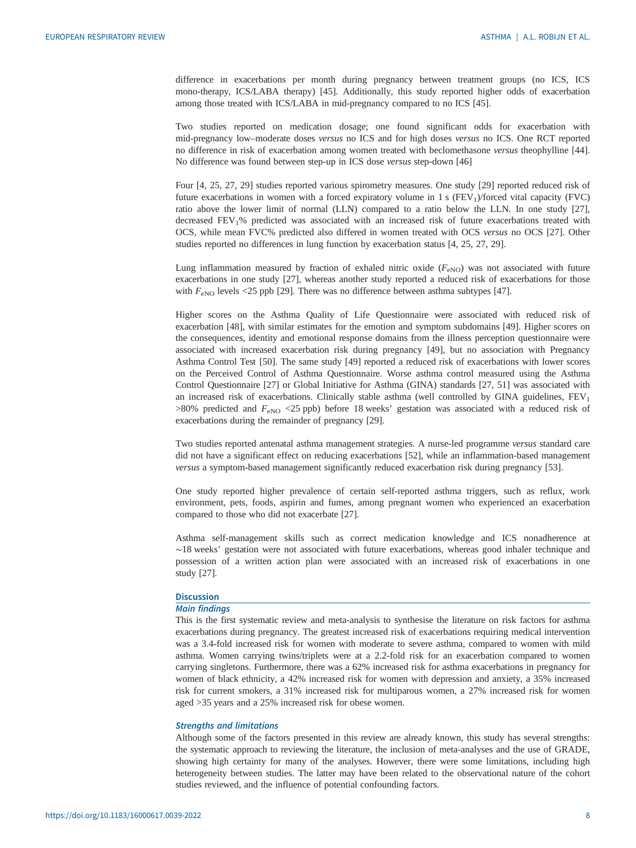difference in exacerbations per month during pregnancy between treatment groups (no ICS, ICS mono-therapy, ICS/LABA therapy) [[45\]](#page-10-0). Additionally, this study reported higher odds of exacerbation among those treated with ICS/LABA in mid-pregnancy compared to no ICS [[45\]](#page-10-0).

Two studies reported on medication dosage; one found significant odds for exacerbation with mid-pregnancy low–moderate doses versus no ICS and for high doses versus no ICS. One RCT reported no difference in risk of exacerbation among women treated with beclomethasone versus theophylline [[44\]](#page-10-0). No difference was found between step-up in ICS dose versus step-down [\[46](#page-10-0)]

Four [\[4,](#page-9-0) [25, 27, 29](#page-10-0)] studies reported various spirometry measures. One study [\[29](#page-10-0)] reported reduced risk of future exacerbations in women with a forced expiratory volume in 1 s  $(FEV<sub>1</sub>)/$  forced vital capacity (FVC) ratio above the lower limit of normal (LLN) compared to a ratio below the LLN. In one study [[27\]](#page-10-0), decreased FEV<sub>1</sub>% predicted was associated with an increased risk of future exacerbations treated with OCS, while mean FVC% predicted also differed in women treated with OCS versus no OCS [\[27](#page-10-0)]. Other studies reported no differences in lung function by exacerbation status [[4](#page-9-0), [25](#page-10-0), [27, 29\]](#page-10-0).

Lung inflammation measured by fraction of exhaled nitric oxide  $(F_{\text{eNO}})$  was not associated with future exacerbations in one study [\[27](#page-10-0)], whereas another study reported a reduced risk of exacerbations for those with  $F_{\text{eNO}}$  levels <25 ppb [\[29](#page-10-0)]. There was no difference between asthma subtypes [\[47](#page-10-0)].

Higher scores on the Asthma Quality of Life Questionnaire were associated with reduced risk of exacerbation [\[48](#page-10-0)], with similar estimates for the emotion and symptom subdomains [[49\]](#page-10-0). Higher scores on the consequences, identity and emotional response domains from the illness perception questionnaire were associated with increased exacerbation risk during pregnancy [[49\]](#page-10-0), but no association with Pregnancy Asthma Control Test [[50\]](#page-11-0). The same study [\[49](#page-10-0)] reported a reduced risk of exacerbations with lower scores on the Perceived Control of Asthma Questionnaire. Worse asthma control measured using the Asthma Control Questionnaire [[27\]](#page-10-0) or Global Initiative for Asthma (GINA) standards [[27,](#page-10-0) [51\]](#page-11-0) was associated with an increased risk of exacerbations. Clinically stable asthma (well controlled by GINA guidelines,  $FEV<sub>1</sub>$  $>80\%$  predicted and  $F_{\text{eNO}}$  <25 ppb) before 18 weeks' gestation was associated with a reduced risk of exacerbations during the remainder of pregnancy [\[29](#page-10-0)].

Two studies reported antenatal asthma management strategies. A nurse-led programme versus standard care did not have a significant effect on reducing exacerbations [\[52](#page-11-0)], while an inflammation-based management versus a symptom-based management significantly reduced exacerbation risk during pregnancy [[53\]](#page-11-0).

One study reported higher prevalence of certain self-reported asthma triggers, such as reflux, work environment, pets, foods, aspirin and fumes, among pregnant women who experienced an exacerbation compared to those who did not exacerbate [\[27](#page-10-0)].

Asthma self-management skills such as correct medication knowledge and ICS nonadherence at ∼18 weeks' gestation were not associated with future exacerbations, whereas good inhaler technique and possession of a written action plan were associated with an increased risk of exacerbations in one study [\[27](#page-10-0)].

#### **Discussion**

### Main findings

This is the first systematic review and meta-analysis to synthesise the literature on risk factors for asthma exacerbations during pregnancy. The greatest increased risk of exacerbations requiring medical intervention was a 3.4-fold increased risk for women with moderate to severe asthma, compared to women with mild asthma. Women carrying twins/triplets were at a 2.2-fold risk for an exacerbation compared to women carrying singletons. Furthermore, there was a 62% increased risk for asthma exacerbations in pregnancy for women of black ethnicity, a 42% increased risk for women with depression and anxiety, a 35% increased risk for current smokers, a 31% increased risk for multiparous women, a 27% increased risk for women aged >35 years and a 25% increased risk for obese women.

# Strengths and limitations

Although some of the factors presented in this review are already known, this study has several strengths: the systematic approach to reviewing the literature, the inclusion of meta-analyses and the use of GRADE, showing high certainty for many of the analyses. However, there were some limitations, including high heterogeneity between studies. The latter may have been related to the observational nature of the cohort studies reviewed, and the influence of potential confounding factors.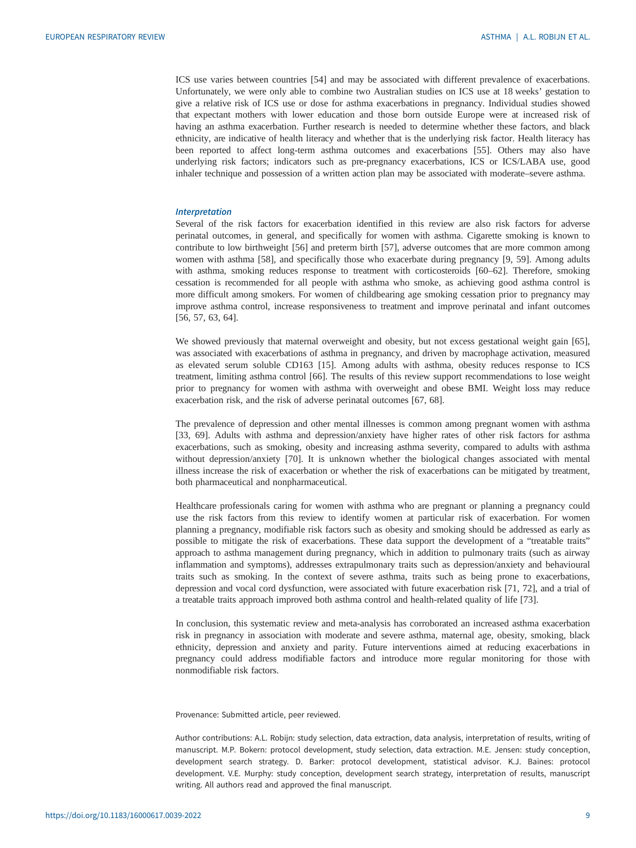ICS use varies between countries [\[54](#page-11-0)] and may be associated with different prevalence of exacerbations. Unfortunately, we were only able to combine two Australian studies on ICS use at 18 weeks' gestation to give a relative risk of ICS use or dose for asthma exacerbations in pregnancy. Individual studies showed that expectant mothers with lower education and those born outside Europe were at increased risk of having an asthma exacerbation. Further research is needed to determine whether these factors, and black ethnicity, are indicative of health literacy and whether that is the underlying risk factor. Health literacy has been reported to affect long-term asthma outcomes and exacerbations [[55\]](#page-11-0). Others may also have underlying risk factors; indicators such as pre-pregnancy exacerbations, ICS or ICS/LABA use, good inhaler technique and possession of a written action plan may be associated with moderate–severe asthma.

# Interpretation

Several of the risk factors for exacerbation identified in this review are also risk factors for adverse perinatal outcomes, in general, and specifically for women with asthma. Cigarette smoking is known to contribute to low birthweight [\[56\]](#page-11-0) and preterm birth [[57\]](#page-11-0), adverse outcomes that are more common among women with asthma [[58\]](#page-11-0), and specifically those who exacerbate during pregnancy [[9](#page-9-0), [59\]](#page-11-0). Among adults with asthma, smoking reduces response to treatment with corticosteroids [\[60](#page-11-0)–[62\]](#page-11-0). Therefore, smoking cessation is recommended for all people with asthma who smoke, as achieving good asthma control is more difficult among smokers. For women of childbearing age smoking cessation prior to pregnancy may improve asthma control, increase responsiveness to treatment and improve perinatal and infant outcomes [\[56](#page-11-0), [57](#page-11-0), [63](#page-11-0), [64](#page-11-0)].

We showed previously that maternal overweight and obesity, but not excess gestational weight gain [[65\]](#page-11-0), was associated with exacerbations of asthma in pregnancy, and driven by macrophage activation, measured as elevated serum soluble CD163 [[15\]](#page-9-0). Among adults with asthma, obesity reduces response to ICS treatment, limiting asthma control [[66\]](#page-11-0). The results of this review support recommendations to lose weight prior to pregnancy for women with asthma with overweight and obese BMI. Weight loss may reduce exacerbation risk, and the risk of adverse perinatal outcomes [\[67](#page-11-0), [68](#page-11-0)].

The prevalence of depression and other mental illnesses is common among pregnant women with asthma [\[33](#page-10-0), [69\]](#page-11-0). Adults with asthma and depression/anxiety have higher rates of other risk factors for asthma exacerbations, such as smoking, obesity and increasing asthma severity, compared to adults with asthma without depression/anxiety [\[70](#page-11-0)]. It is unknown whether the biological changes associated with mental illness increase the risk of exacerbation or whether the risk of exacerbations can be mitigated by treatment, both pharmaceutical and nonpharmaceutical.

Healthcare professionals caring for women with asthma who are pregnant or planning a pregnancy could use the risk factors from this review to identify women at particular risk of exacerbation. For women planning a pregnancy, modifiable risk factors such as obesity and smoking should be addressed as early as possible to mitigate the risk of exacerbations. These data support the development of a "treatable traits" approach to asthma management during pregnancy, which in addition to pulmonary traits (such as airway inflammation and symptoms), addresses extrapulmonary traits such as depression/anxiety and behavioural traits such as smoking. In the context of severe asthma, traits such as being prone to exacerbations, depression and vocal cord dysfunction, were associated with future exacerbation risk [[71, 72\]](#page-11-0), and a trial of a treatable traits approach improved both asthma control and health-related quality of life [\[73](#page-11-0)].

In conclusion, this systematic review and meta-analysis has corroborated an increased asthma exacerbation risk in pregnancy in association with moderate and severe asthma, maternal age, obesity, smoking, black ethnicity, depression and anxiety and parity. Future interventions aimed at reducing exacerbations in pregnancy could address modifiable factors and introduce more regular monitoring for those with nonmodifiable risk factors.

Provenance: Submitted article, peer reviewed.

Author contributions: A.L. Robijn: study selection, data extraction, data analysis, interpretation of results, writing of manuscript. M.P. Bokern: protocol development, study selection, data extraction. M.E. Jensen: study conception, development search strategy. D. Barker: protocol development, statistical advisor. K.J. Baines: protocol development. V.E. Murphy: study conception, development search strategy, interpretation of results, manuscript writing. All authors read and approved the final manuscript.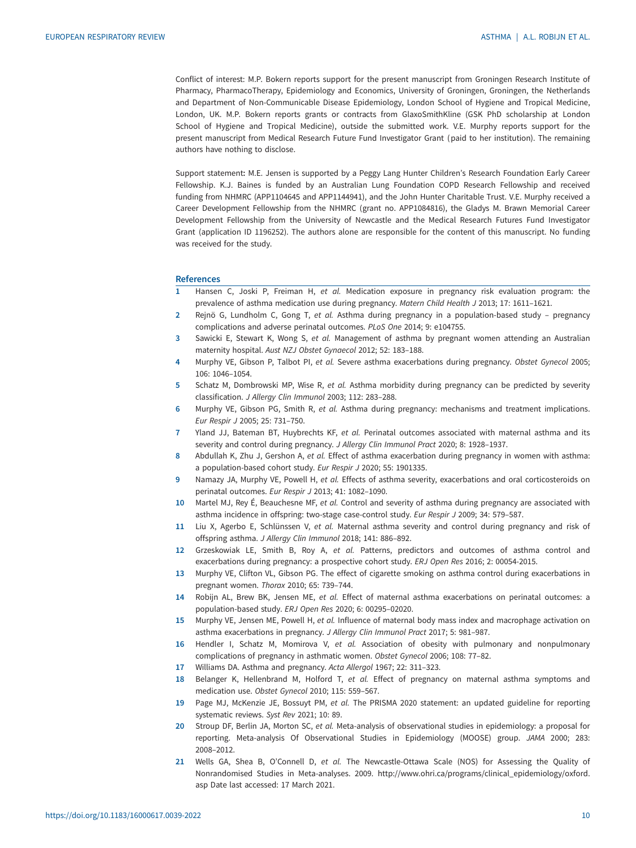<span id="page-9-0"></span>Conflict of interest: M.P. Bokern reports support for the present manuscript from Groningen Research Institute of Pharmacy, PharmacoTherapy, Epidemiology and Economics, University of Groningen, Groningen, the Netherlands and Department of Non-Communicable Disease Epidemiology, London School of Hygiene and Tropical Medicine, London, UK. M.P. Bokern reports grants or contracts from GlaxoSmithKline (GSK PhD scholarship at London School of Hygiene and Tropical Medicine), outside the submitted work. V.E. Murphy reports support for the present manuscript from Medical Research Future Fund Investigator Grant (paid to her institution). The remaining authors have nothing to disclose.

Support statement: M.E. Jensen is supported by a Peggy Lang Hunter Children's Research Foundation Early Career Fellowship. K.J. Baines is funded by an Australian Lung Foundation COPD Research Fellowship and received funding from NHMRC (APP1104645 and APP1144941), and the John Hunter Charitable Trust. V.E. Murphy received a Career Development Fellowship from the NHMRC (grant no. APP1084816), the Gladys M. Brawn Memorial Career Development Fellowship from the University of Newcastle and the Medical Research Futures Fund Investigator Grant (application ID 1196252). The authors alone are responsible for the content of this manuscript. No funding was received for the study.

### **References**

- 1 Hansen C, Joski P, Freiman H, et al. Medication exposure in pregnancy risk evaluation program: the prevalence of asthma medication use during pregnancy. Matern Child Health J 2013; 17: 1611–1621.
- 2 Rejnö G, Lundholm C, Gong T, et al. Asthma during pregnancy in a population-based study pregnancy complications and adverse perinatal outcomes. PLoS One 2014; 9: e104755.
- 3 Sawicki E, Stewart K, Wong S, et al. Management of asthma by pregnant women attending an Australian maternity hospital. Aust NZJ Obstet Gynaecol 2012; 52: 183–188.
- 4 Murphy VE, Gibson P, Talbot PI, et al. Severe asthma exacerbations during pregnancy. Obstet Gynecol 2005; 106: 1046–1054.
- 5 Schatz M, Dombrowski MP, Wise R, et al. Asthma morbidity during pregnancy can be predicted by severity classification. J Allergy Clin Immunol 2003; 112: 283–288.
- 6 Murphy VE, Gibson PG, Smith R, et al. Asthma during pregnancy: mechanisms and treatment implications. Eur Respir J 2005; 25: 731–750.
- 7 Yland JJ, Bateman BT, Huybrechts KF, et al. Perinatal outcomes associated with maternal asthma and its severity and control during pregnancy. J Allergy Clin Immunol Pract 2020; 8: 1928–1937.
- 8 Abdullah K, Zhu J, Gershon A, et al. Effect of asthma exacerbation during pregnancy in women with asthma: a population-based cohort study. Eur Respir J 2020; 55: 1901335.
- 9 Namazy JA, Murphy VE, Powell H, et al. Effects of asthma severity, exacerbations and oral corticosteroids on perinatal outcomes. Eur Respir J 2013; 41: 1082–1090.
- 10 Martel MJ, Rey É, Beauchesne MF, et al. Control and severity of asthma during pregnancy are associated with asthma incidence in offspring: two-stage case-control study. Eur Respir J 2009; 34: 579–587.
- 11 Liu X, Agerbo E, Schlünssen V, et al. Maternal asthma severity and control during pregnancy and risk of offspring asthma. J Allergy Clin Immunol 2018; 141: 886–892.
- 12 Grzeskowiak LE, Smith B, Roy A, et al. Patterns, predictors and outcomes of asthma control and exacerbations during pregnancy: a prospective cohort study. ERJ Open Res 2016; 2: 00054-2015.
- 13 Murphy VE, Clifton VL, Gibson PG. The effect of cigarette smoking on asthma control during exacerbations in pregnant women. Thorax 2010; 65: 739–744.
- 14 Robijn AL, Brew BK, Jensen ME, et al. Effect of maternal asthma exacerbations on perinatal outcomes: a population-based study. ERJ Open Res 2020; 6: 00295–02020.
- 15 Murphy VE, Jensen ME, Powell H, et al. Influence of maternal body mass index and macrophage activation on asthma exacerbations in pregnancy. J Allergy Clin Immunol Pract 2017; 5: 981–987.
- 16 Hendler I, Schatz M, Momirova V, et al. Association of obesity with pulmonary and nonpulmonary complications of pregnancy in asthmatic women. Obstet Gynecol 2006; 108: 77–82.
- 17 Williams DA. Asthma and pregnancy. Acta Allergol 1967; 22: 311-323.
- 18 Belanger K, Hellenbrand M, Holford T, et al. Effect of pregnancy on maternal asthma symptoms and medication use. Obstet Gynecol 2010; 115: 559–567.
- 19 Page MJ, McKenzie JE, Bossuyt PM, et al. The PRISMA 2020 statement: an updated guideline for reporting systematic reviews. Syst Rev 2021; 10: 89.
- 20 Stroup DF, Berlin JA, Morton SC, et al. Meta-analysis of observational studies in epidemiology: a proposal for reporting. Meta-analysis Of Observational Studies in Epidemiology (MOOSE) group. JAMA 2000; 283: 2008–2012.
- 21 Wells GA, Shea B, O'Connell D, et al. The Newcastle-Ottawa Scale (NOS) for Assessing the Quality of Nonrandomised Studies in Meta-analyses. 2009. [http://www.ohri.ca/programs/clinical\\_epidemiology/oxford.](http://www.ohri.ca/programs/clinical_epidemiology/oxford.asp) [asp](http://www.ohri.ca/programs/clinical_epidemiology/oxford.asp) Date last accessed: 17 March 2021.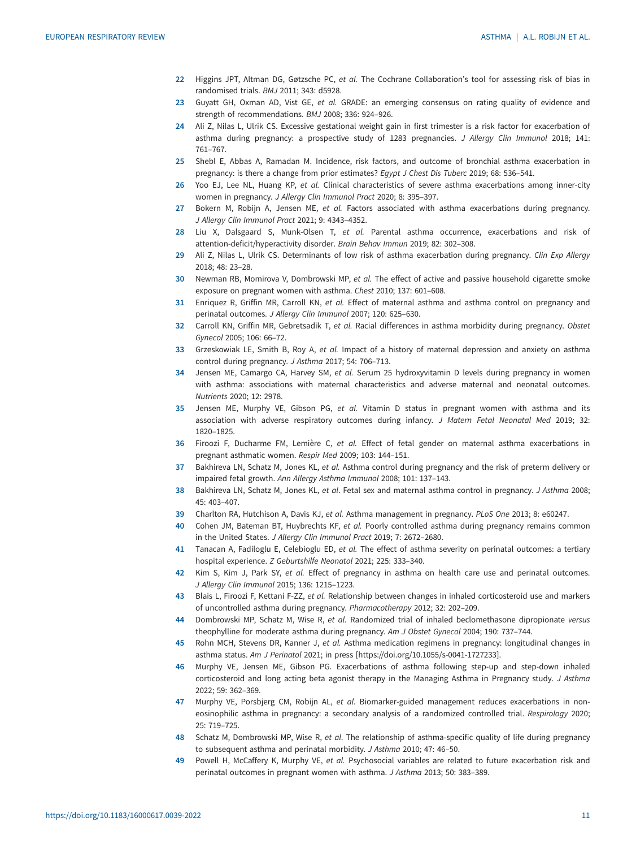- <span id="page-10-0"></span>22 Higgins JPT, Altman DG, Gøtzsche PC, et al. The Cochrane Collaboration's tool for assessing risk of bias in randomised trials. BMJ 2011; 343: d5928.
- 23 Guyatt GH, Oxman AD, Vist GE, et al. GRADE: an emerging consensus on rating quality of evidence and strength of recommendations. BMJ 2008; 336: 924–926.
- 24 Ali Z, Nilas L, Ulrik CS. Excessive gestational weight gain in first trimester is a risk factor for exacerbation of asthma during pregnancy: a prospective study of 1283 pregnancies. J Allergy Clin Immunol 2018; 141: 761–767.
- 25 Shebl E, Abbas A, Ramadan M. Incidence, risk factors, and outcome of bronchial asthma exacerbation in pregnancy: is there a change from prior estimates? Egypt J Chest Dis Tuberc 2019; 68: 536-541.
- 26 Yoo EJ, Lee NL, Huang KP, et al. Clinical characteristics of severe asthma exacerbations among inner-city women in pregnancy. J Allergy Clin Immunol Pract 2020; 8: 395–397.
- 27 Bokern M, Robijn A, Jensen ME, et al. Factors associated with asthma exacerbations during pregnancy. J Allergy Clin Immunol Pract 2021; 9: 4343–4352.
- 28 Liu X, Dalsgaard S, Munk-Olsen T, et al. Parental asthma occurrence, exacerbations and risk of attention-deficit/hyperactivity disorder. Brain Behav Immun 2019; 82: 302–308.
- 29 Ali Z, Nilas L, Ulrik CS. Determinants of low risk of asthma exacerbation during pregnancy. Clin Exp Allergy 2018; 48: 23–28.
- 30 Newman RB, Momirova V, Dombrowski MP, et al. The effect of active and passive household cigarette smoke exposure on pregnant women with asthma. Chest 2010; 137: 601–608.
- 31 Enriquez R, Griffin MR, Carroll KN, et al. Effect of maternal asthma and asthma control on pregnancy and perinatal outcomes. J Allergy Clin Immunol 2007; 120: 625–630.
- 32 Carroll KN, Griffin MR, Gebretsadik T, et al. Racial differences in asthma morbidity during pregnancy. Obstet Gynecol 2005; 106: 66–72.
- 33 Grzeskowiak LE, Smith B, Roy A, et al. Impact of a history of maternal depression and anxiety on asthma control during pregnancy. J Asthma 2017; 54: 706–713.
- 34 Jensen ME, Camargo CA, Harvey SM, et al. Serum 25 hydroxyvitamin D levels during pregnancy in women with asthma: associations with maternal characteristics and adverse maternal and neonatal outcomes. Nutrients 2020; 12: 2978.
- 35 Jensen ME, Murphy VE, Gibson PG, et al. Vitamin D status in pregnant women with asthma and its association with adverse respiratory outcomes during infancy. J Matern Fetal Neonatal Med 2019; 32: 1820–1825.
- 36 Firoozi F, Ducharme FM, Lemière C, et al. Effect of fetal gender on maternal asthma exacerbations in pregnant asthmatic women. Respir Med 2009; 103: 144–151.
- 37 Bakhireva LN, Schatz M, Jones KL, et al. Asthma control during pregnancy and the risk of preterm delivery or impaired fetal growth. Ann Allergy Asthma Immunol 2008; 101: 137–143.
- 38 Bakhireva LN, Schatz M, Jones KL, et al. Fetal sex and maternal asthma control in pregnancy. J Asthma 2008; 45: 403–407.
- 39 Charlton RA, Hutchison A, Davis KJ, et al. Asthma management in pregnancy. PLoS One 2013; 8: e60247.
- 40 Cohen JM, Bateman BT, Huybrechts KF, et al. Poorly controlled asthma during pregnancy remains common in the United States. J Allergy Clin Immunol Pract 2019; 7: 2672–2680.
- 41 Tanacan A, Fadiloglu E, Celebioglu ED, et al. The effect of asthma severity on perinatal outcomes: a tertiary hospital experience. Z Geburtshilfe Neonatol 2021; 225: 333–340.
- 42 Kim S, Kim J, Park SY, et al. Effect of pregnancy in asthma on health care use and perinatal outcomes. J Allergy Clin Immunol 2015; 136: 1215–1223.
- 43 Blais L, Firoozi F, Kettani F-ZZ, et al. Relationship between changes in inhaled corticosteroid use and markers of uncontrolled asthma during pregnancy. Pharmacotherapy 2012; 32: 202–209.
- 44 Dombrowski MP, Schatz M, Wise R, et al. Randomized trial of inhaled beclomethasone dipropionate versus theophylline for moderate asthma during pregnancy. Am J Obstet Gynecol 2004; 190: 737–744.
- 45 Rohn MCH, Stevens DR, Kanner J, et al. Asthma medication regimens in pregnancy: longitudinal changes in asthma status. Am J Perinatol 2021; in press [<https://doi.org/10.1055/s-0041-1727233>].
- 46 Murphy VE, Jensen ME, Gibson PG. Exacerbations of asthma following step-up and step-down inhaled corticosteroid and long acting beta agonist therapy in the Managing Asthma in Pregnancy study. J Asthma 2022; 59: 362–369.
- 47 Murphy VE, Porsbjerg CM, Robijn AL, et al. Biomarker-guided management reduces exacerbations in noneosinophilic asthma in pregnancy: a secondary analysis of a randomized controlled trial. Respirology 2020; 25: 719–725.
- 48 Schatz M, Dombrowski MP, Wise R, et al. The relationship of asthma-specific quality of life during pregnancy to subsequent asthma and perinatal morbidity. J Asthma 2010; 47: 46–50.
- 49 Powell H, McCaffery K, Murphy VE, et al. Psychosocial variables are related to future exacerbation risk and perinatal outcomes in pregnant women with asthma. J Asthma 2013; 50: 383–389.